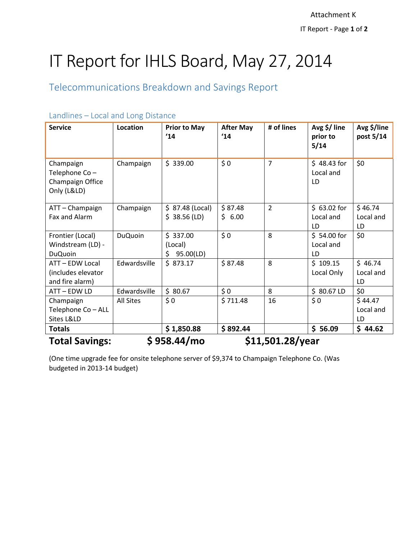# IT Report for IHLS Board, May 27, 2014

## Telecommunications Breakdown and Savings Report

| <b>Service</b>                                                | Location         | <b>Prior to May</b><br>'14 | <b>After May</b><br>'14 | # of lines     | Avg \$/ line<br>prior to<br>5/14 | Avg \$/line<br>post 5/14 |
|---------------------------------------------------------------|------------------|----------------------------|-------------------------|----------------|----------------------------------|--------------------------|
| Champaign<br>Telephone Co-<br>Champaign Office<br>Only (L&LD) | Champaign        | \$339.00                   | \$0                     | $\overline{7}$ | $$48.43$ for<br>Local and<br>LD  | \$0                      |
| ATT-Champaign                                                 | Champaign        | \$ 87.48 (Local)           | \$87.48                 | $\overline{2}$ | $$63.02$ for                     | \$46.74                  |
| Fax and Alarm                                                 |                  | $$38.56$ (LD)              | \$6.00                  |                | Local and                        | Local and                |
|                                                               |                  |                            |                         |                | LD                               | LD                       |
| Frontier (Local)                                              | <b>DuQuoin</b>   | \$337.00                   | \$0                     | 8              | \$54.00 for                      | \$0                      |
| Windstream (LD) -                                             |                  | (Local)                    |                         |                | Local and                        |                          |
| <b>DuQuoin</b>                                                |                  | \$<br>95.00(LD)            |                         |                | LD                               |                          |
| ATT-EDW Local                                                 | Edwardsville     | \$873.17                   | \$87.48                 | 8              | \$109.15                         | \$46.74                  |
| (includes elevator                                            |                  |                            |                         |                | Local Only                       | Local and                |
| and fire alarm)                                               |                  |                            |                         |                |                                  | LD                       |
| ATT-EDWLD                                                     | Edwardsville     | \$80.67                    | \$0                     | 8              | $$80.67$ LD                      | \$0                      |
| Champaign                                                     | <b>All Sites</b> | \$0                        | \$711.48                | 16             | \$0                              | \$44.47                  |
| Telephone Co - ALL                                            |                  |                            |                         |                |                                  | Local and                |
| Sites L&LD                                                    |                  |                            |                         |                |                                  | LD                       |
| <b>Totals</b>                                                 |                  | \$1,850.88                 | \$892.44                |                | \$56.09                          | \$44.62                  |
| \$11,501.28/year<br>\$958.44/mo<br><b>Total Savings:</b>      |                  |                            |                         |                |                                  |                          |

#### Landlines – Local and Long Distance

(One time upgrade fee for onsite telephone server of \$9,374 to Champaign Telephone Co. (Was budgeted in 2013-14 budget)